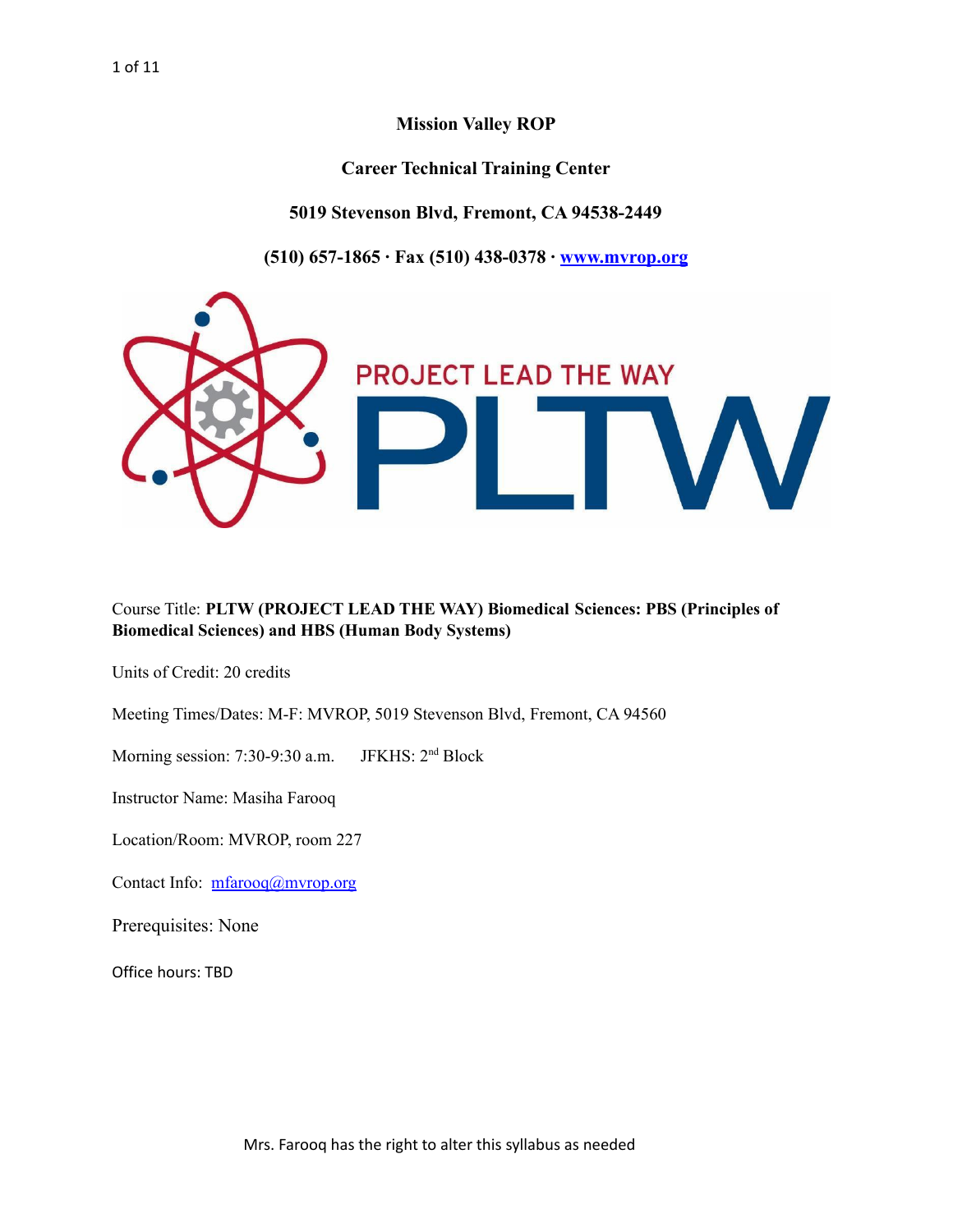**Mission Valley ROP**

**Career Technical Training Center**

**5019 Stevenson Blvd, Fremont, CA 94538-2449**

**(510) 657-1865 ∙ Fax (510) 438-0378 ∙ [www.mvrop.org](http://www.mvrop.org/)**



#### Course Title: **PLTW (PROJECT LEAD THE WAY) Biomedical Sciences: PBS (Principles of Biomedical Sciences) and HBS (Human Body Systems)**

Units of Credit: 20 credits

Meeting Times/Dates: M-F: MVROP, 5019 Stevenson Blvd, Fremont, CA 94560

Morning session:  $7:30-9:30$  a.m. JFKHS: 2<sup>nd</sup> Block

Instructor Name: Masiha Farooq

Location/Room: MVROP, room 227

Contact Info: [mfarooq@mvrop.org](mailto:mfarooq@mvrop.org)

Prerequisites: None

Office hours: TBD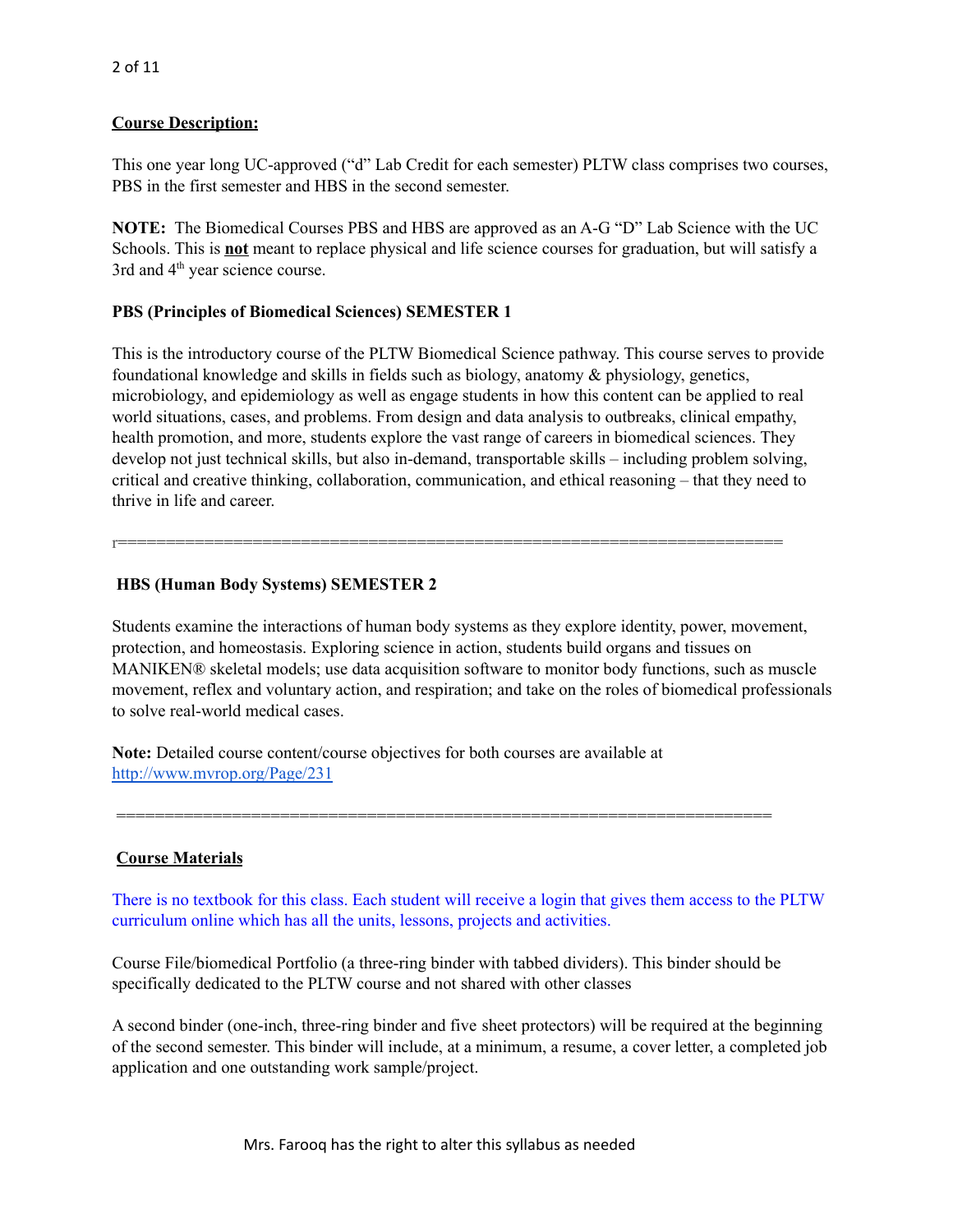## **Course Description:**

This one year long UC-approved ("d" Lab Credit for each semester) PLTW class comprises two courses, PBS in the first semester and HBS in the second semester.

**NOTE:** The Biomedical Courses PBS and HBS are approved as an A-G "D" Lab Science with the UC Schools. This is **not** meant to replace physical and life science courses for graduation, but will satisfy a 3rd and 4<sup>th</sup> year science course.

# **PBS (Principles of Biomedical Sciences) SEMESTER 1**

This is the introductory course of the PLTW Biomedical Science pathway. This course serves to provide foundational knowledge and skills in fields such as biology, anatomy & physiology, genetics, microbiology, and epidemiology as well as engage students in how this content can be applied to real world situations, cases, and problems. From design and data analysis to outbreaks, clinical empathy, health promotion, and more, students explore the vast range of careers in biomedical sciences. They develop not just technical skills, but also in-demand, transportable skills – including problem solving, critical and creative thinking, collaboration, communication, and ethical reasoning – that they need to thrive in life and career.

r=====================================================================

# **HBS (Human Body Systems) SEMESTER 2**

Students examine the interactions of human body systems as they explore identity, power, movement, protection, and homeostasis. Exploring science in action, students build organs and tissues on MANIKEN® skeletal models; use data acquisition software to monitor body functions, such as muscle movement, reflex and voluntary action, and respiration; and take on the roles of biomedical professionals to solve real-world medical cases.

**Note:** Detailed course content/course objectives for both courses are available at <http://www.mvrop.org/Page/231>

## **Course Materials**

There is no textbook for this class. Each student will receive a login that gives them access to the PLTW curriculum online which has all the units, lessons, projects and activities.

Course File/biomedical Portfolio (a three-ring binder with tabbed dividers). This binder should be specifically dedicated to the PLTW course and not shared with other classes

====================================================================

A second binder (one-inch, three-ring binder and five sheet protectors) will be required at the beginning of the second semester. This binder will include, at a minimum, a resume, a cover letter, a completed job application and one outstanding work sample/project.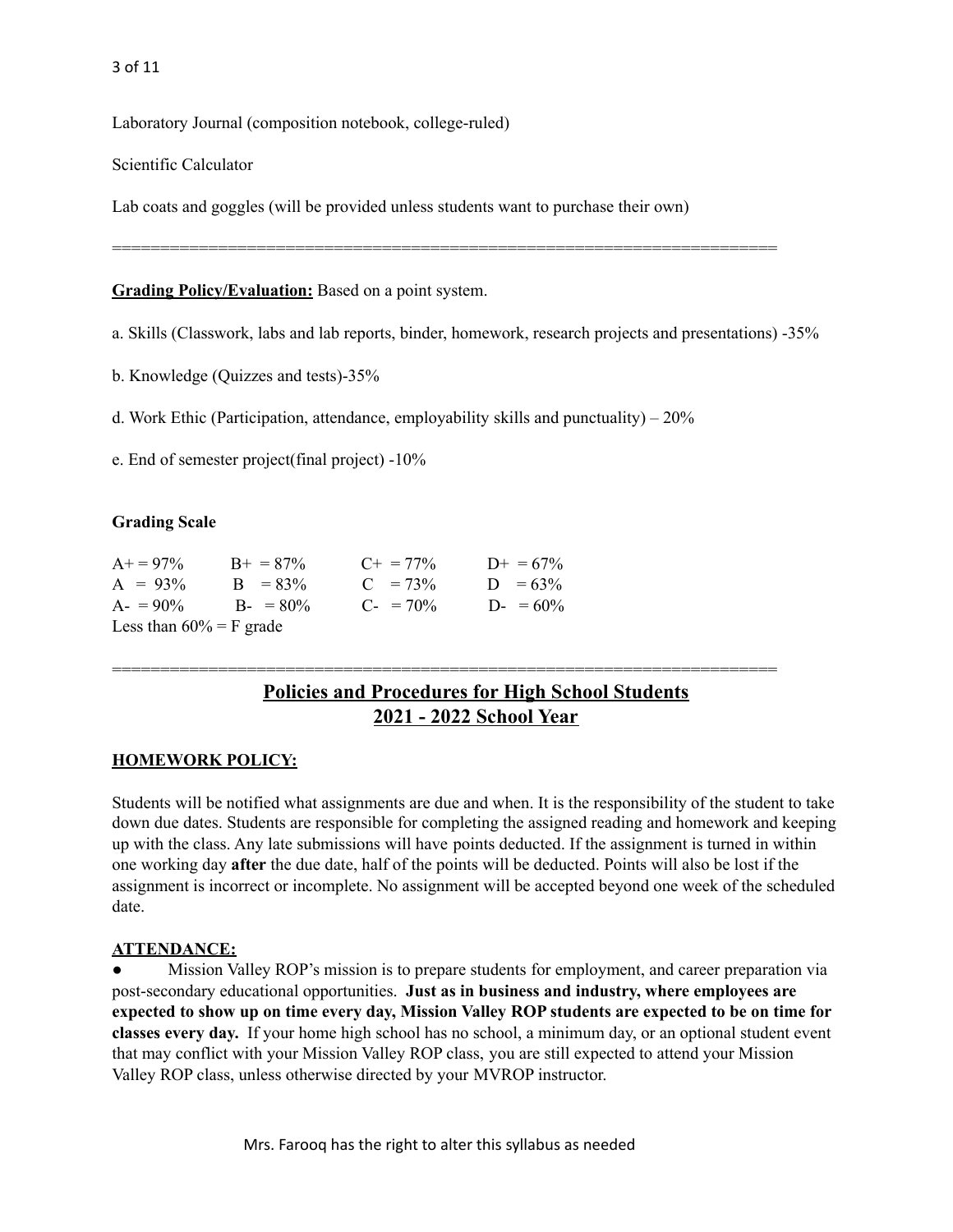3 of 11

Laboratory Journal (composition notebook, college-ruled)

Scientific Calculator

Lab coats and goggles (will be provided unless students want to purchase their own)

**Grading Policy/Evaluation:** Based on a point system.

a. Skills (Classwork, labs and lab reports, binder, homework, research projects and presentations) -35%

=====================================================================

b. Knowledge (Quizzes and tests)-35%

d. Work Ethic (Participation, attendance, employability skills and punctuality) – 20%

e. End of semester project(final project) -10%

#### **Grading Scale**

| $A+ = 97\%$                | $B_{+} = 87\%$ | $C_{\pm} = 77\%$    | $D_{+} = 67\%$ |
|----------------------------|----------------|---------------------|----------------|
| $A = 93\%$                 | $B = 83\%$     | $C = 73\%$          | $D = 63\%$     |
| $A = 90\%$                 | $B - 80\%$     | $C_{\rm{f}} = 70\%$ | D- = $60\%$    |
| Less than $60\% = F$ grade |                |                     |                |

# **Policies and Procedures for High School Students 2021 - 2022 School Year**

=====================================================================

#### **HOMEWORK POLICY:**

Students will be notified what assignments are due and when. It is the responsibility of the student to take down due dates. Students are responsible for completing the assigned reading and homework and keeping up with the class. Any late submissions will have points deducted. If the assignment is turned in within one working day **after** the due date, half of the points will be deducted. Points will also be lost if the assignment is incorrect or incomplete. No assignment will be accepted beyond one week of the scheduled date.

#### **ATTENDANCE:**

Mission Valley ROP's mission is to prepare students for employment, and career preparation via post-secondary educational opportunities. **Just as in business and industry, where employees are** expected to show up on time every day, Mission Valley ROP students are expected to be on time for **classes every day.** If your home high school has no school, a minimum day, or an optional student event that may conflict with your Mission Valley ROP class, you are still expected to attend your Mission Valley ROP class, unless otherwise directed by your MVROP instructor.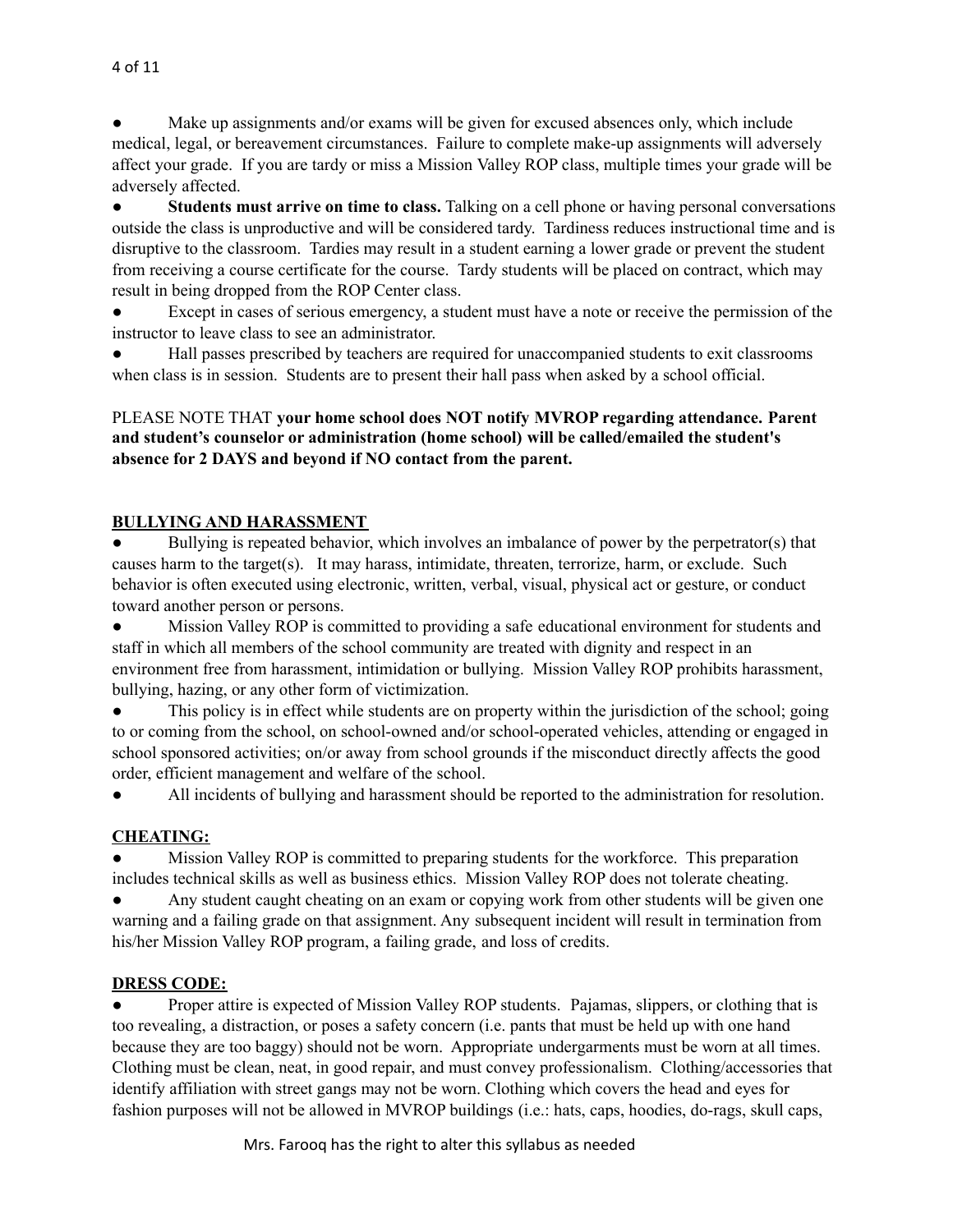Make up assignments and/or exams will be given for excused absences only, which include medical, legal, or bereavement circumstances. Failure to complete make-up assignments will adversely affect your grade. If you are tardy or miss a Mission Valley ROP class, multiple times your grade will be adversely affected.

● **Students must arrive on time to class.** Talking on a cell phone or having personal conversations outside the class is unproductive and will be considered tardy. Tardiness reduces instructional time and is disruptive to the classroom. Tardies may result in a student earning a lower grade or prevent the student from receiving a course certificate for the course. Tardy students will be placed on contract, which may result in being dropped from the ROP Center class.

Except in cases of serious emergency, a student must have a note or receive the permission of the instructor to leave class to see an administrator.

Hall passes prescribed by teachers are required for unaccompanied students to exit classrooms when class is in session. Students are to present their hall pass when asked by a school official.

## PLEASE NOTE THAT **your home school does NOT notify MVROP regarding attendance. Parent and student's counselor or administration (home school) will be called/emailed the student's absence for 2 DAYS and beyond if NO contact from the parent.**

# **BULLYING AND HARASSMENT**

Bullying is repeated behavior, which involves an imbalance of power by the perpetrator(s) that causes harm to the target(s). It may harass, intimidate, threaten, terrorize, harm, or exclude. Such behavior is often executed using electronic, written, verbal, visual, physical act or gesture, or conduct toward another person or persons.

● Mission Valley ROP is committed to providing a safe educational environment for students and staff in which all members of the school community are treated with dignity and respect in an environment free from harassment, intimidation or bullying. Mission Valley ROP prohibits harassment, bullying, hazing, or any other form of victimization.

This policy is in effect while students are on property within the jurisdiction of the school; going to or coming from the school, on school-owned and/or school-operated vehicles, attending or engaged in school sponsored activities; on/or away from school grounds if the misconduct directly affects the good order, efficient management and welfare of the school.

● All incidents of bullying and harassment should be reported to the administration for resolution.

## **CHEATING:**

● Mission Valley ROP is committed to preparing students for the workforce. This preparation includes technical skills as well as business ethics. Mission Valley ROP does not tolerate cheating.

Any student caught cheating on an exam or copying work from other students will be given one warning and a failing grade on that assignment. Any subsequent incident will result in termination from his/her Mission Valley ROP program, a failing grade, and loss of credits.

## **DRESS CODE:**

• Proper attire is expected of Mission Valley ROP students. Pajamas, slippers, or clothing that is too revealing, a distraction, or poses a safety concern (i.e. pants that must be held up with one hand because they are too baggy) should not be worn. Appropriate undergarments must be worn at all times. Clothing must be clean, neat, in good repair, and must convey professionalism. Clothing/accessories that identify affiliation with street gangs may not be worn. Clothing which covers the head and eyes for fashion purposes will not be allowed in MVROP buildings (i.e.: hats, caps, hoodies, do-rags, skull caps,

Mrs. Farooq has the right to alter this syllabus as needed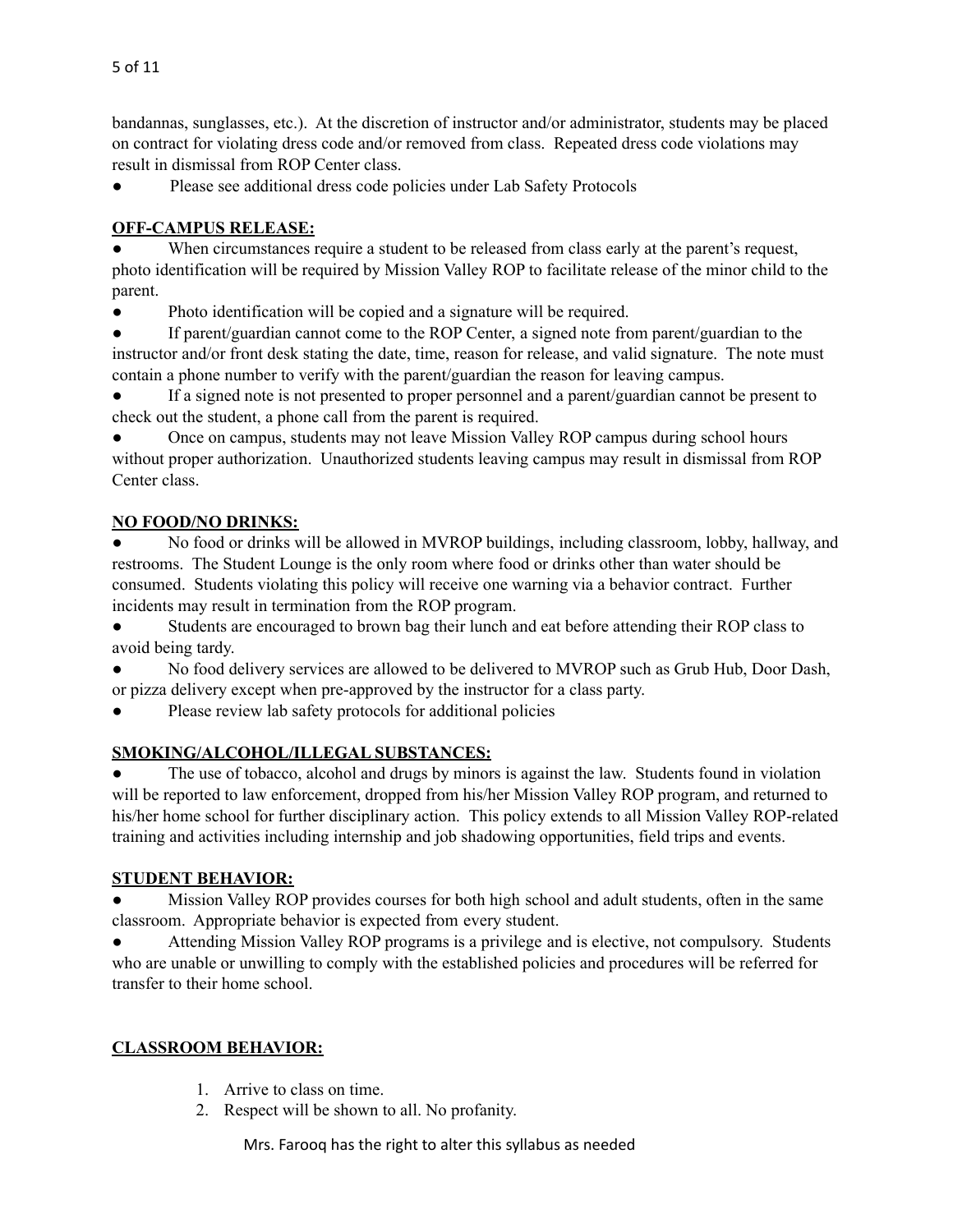bandannas, sunglasses, etc.). At the discretion of instructor and/or administrator, students may be placed on contract for violating dress code and/or removed from class. Repeated dress code violations may result in dismissal from ROP Center class.

● Please see additional dress code policies under Lab Safety Protocols

# **OFF-CAMPUS RELEASE:**

When circumstances require a student to be released from class early at the parent's request, photo identification will be required by Mission Valley ROP to facilitate release of the minor child to the parent.

● Photo identification will be copied and a signature will be required.

If parent/guardian cannot come to the ROP Center, a signed note from parent/guardian to the instructor and/or front desk stating the date, time, reason for release, and valid signature. The note must contain a phone number to verify with the parent/guardian the reason for leaving campus.

● If a signed note is not presented to proper personnel and a parent/guardian cannot be present to check out the student, a phone call from the parent is required.

Once on campus, students may not leave Mission Valley ROP campus during school hours without proper authorization. Unauthorized students leaving campus may result in dismissal from ROP Center class.

# **NO FOOD/NO DRINKS:**

No food or drinks will be allowed in MVROP buildings, including classroom, lobby, hallway, and restrooms. The Student Lounge is the only room where food or drinks other than water should be consumed. Students violating this policy will receive one warning via a behavior contract. Further incidents may result in termination from the ROP program.

● Students are encouraged to brown bag their lunch and eat before attending their ROP class to avoid being tardy.

No food delivery services are allowed to be delivered to MVROP such as Grub Hub, Door Dash, or pizza delivery except when pre-approved by the instructor for a class party.

Please review lab safety protocols for additional policies

## **SMOKING/ALCOHOL/ILLEGAL SUBSTANCES:**

The use of tobacco, alcohol and drugs by minors is against the law. Students found in violation will be reported to law enforcement, dropped from his/her Mission Valley ROP program, and returned to his/her home school for further disciplinary action. This policy extends to all Mission Valley ROP-related training and activities including internship and job shadowing opportunities, field trips and events.

## **STUDENT BEHAVIOR:**

● Mission Valley ROP provides courses for both high school and adult students, often in the same classroom. Appropriate behavior is expected from every student.

Attending Mission Valley ROP programs is a privilege and is elective, not compulsory. Students who are unable or unwilling to comply with the established policies and procedures will be referred for transfer to their home school.

## **CLASSROOM BEHAVIOR:**

- 1. Arrive to class on time.
- 2. Respect will be shown to all. No profanity.

Mrs. Farooq has the right to alter this syllabus as needed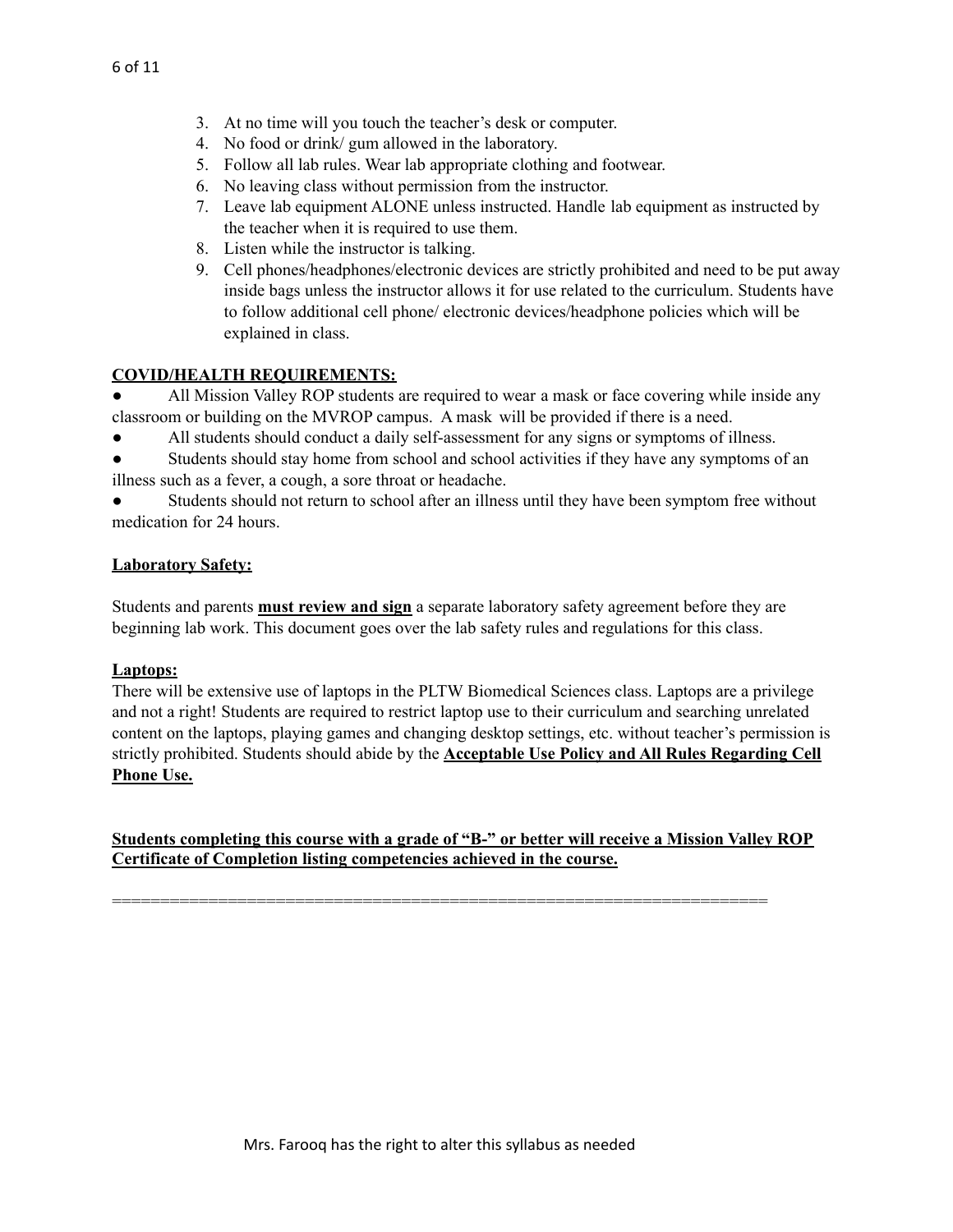- 3. At no time will you touch the teacher's desk or computer.
- 4. No food or drink/ gum allowed in the laboratory.
- 5. Follow all lab rules. Wear lab appropriate clothing and footwear.
- 6. No leaving class without permission from the instructor.
- 7. Leave lab equipment ALONE unless instructed. Handle lab equipment as instructed by the teacher when it is required to use them.
- 8. Listen while the instructor is talking.
- 9. Cell phones/headphones/electronic devices are strictly prohibited and need to be put away inside bags unless the instructor allows it for use related to the curriculum. Students have to follow additional cell phone/ electronic devices/headphone policies which will be explained in class.

#### **COVID/HEALTH REQUIREMENTS:**

All Mission Valley ROP students are required to wear a mask or face covering while inside any classroom or building on the MVROP campus. A mask will be provided if there is a need.

- All students should conduct a daily self-assessment for any signs or symptoms of illness.
- Students should stay home from school and school activities if they have any symptoms of an illness such as a fever, a cough, a sore throat or headache.
- Students should not return to school after an illness until they have been symptom free without medication for 24 hours.

#### **Laboratory Safety:**

Students and parents **must review and sign** a separate laboratory safety agreement before they are beginning lab work. This document goes over the lab safety rules and regulations for this class.

#### **Laptops:**

There will be extensive use of laptops in the PLTW Biomedical Sciences class. Laptops are a privilege and not a right! Students are required to restrict laptop use to their curriculum and searching unrelated content on the laptops, playing games and changing desktop settings, etc. without teacher's permission is strictly prohibited. Students should abide by the **Acceptable Use Policy and All Rules Regarding Cell Phone Use.**

## **Students completing this course with a grade of "B-" or better will receive a Mission Valley ROP Certificate of Completion listing competencies achieved in the course.**

====================================================================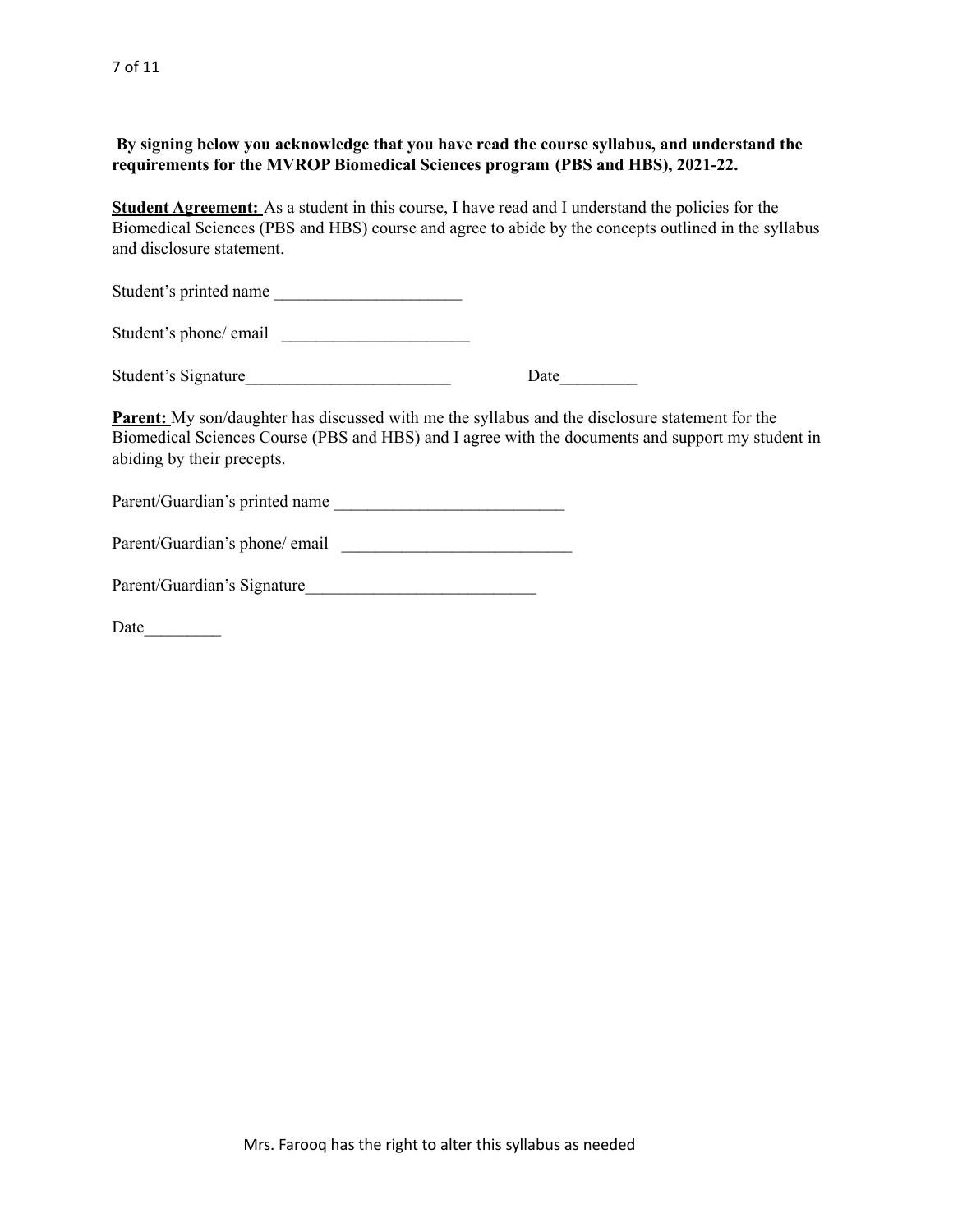**By signing below you acknowledge that you have read the course syllabus, and understand the requirements for the MVROP Biomedical Sciences program (PBS and HBS), 2021-22.**

**Student Agreement:** As a student in this course, I have read and I understand the policies for the Biomedical Sciences (PBS and HBS) course and agree to abide by the concepts outlined in the syllabus and disclosure statement.

Student's printed name

Student's phone/ email

| Student's Signature | Date |
|---------------------|------|
|---------------------|------|

**Parent:** My son/daughter has discussed with me the syllabus and the disclosure statement for the Biomedical Sciences Course (PBS and HBS) and I agree with the documents and support my student in abiding by their precepts.

Parent/Guardian's printed name

| Parent/Guardian's phone/ email |  |
|--------------------------------|--|
|                                |  |

| Parent/Guardian's Signature |
|-----------------------------|
|-----------------------------|

Date\_\_\_\_\_\_\_\_\_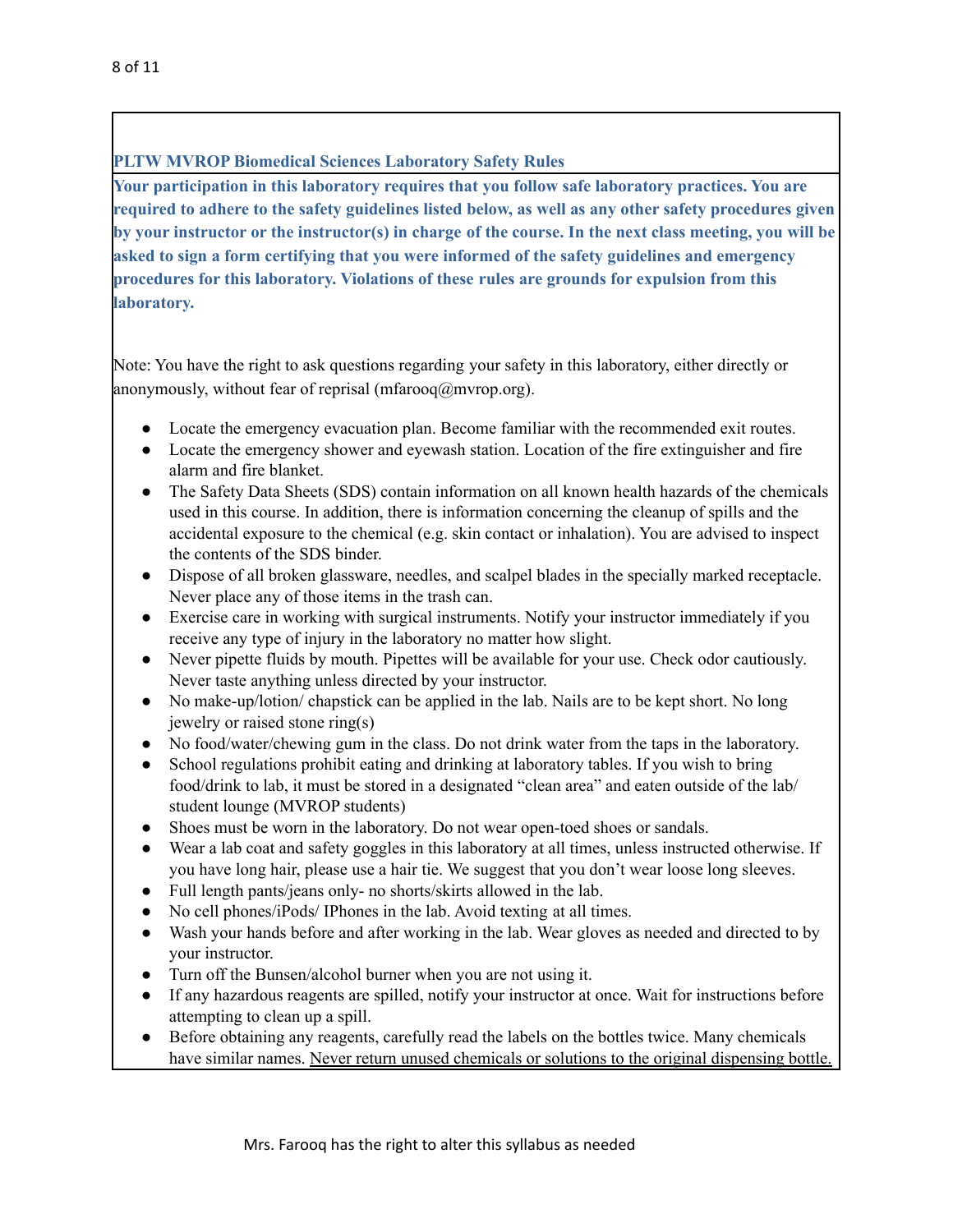## **PLTW MVROP Biomedical Sciences Laboratory Safety Rules**

**Your participation in this laboratory requires that you follow safe laboratory practices. You are required to adhere to the safety guidelines listed below, as well as any other safety procedures given** by your instructor or the instructor(s) in charge of the course. In the next class meeting, you will be **asked to sign a form certifying that you were informed of the safety guidelines and emergency procedures for this laboratory. Violations of these rules are grounds for expulsion from this laboratory.**

Note: You have the right to ask questions regarding your safety in this laboratory, either directly or anonymously, without fear of reprisal (mfarooq $\omega$ mvrop.org).

- Locate the emergency evacuation plan. Become familiar with the recommended exit routes.
- Locate the emergency shower and eyewash station. Location of the fire extinguisher and fire alarm and fire blanket.
- The Safety Data Sheets (SDS) contain information on all known health hazards of the chemicals used in this course. In addition, there is information concerning the cleanup of spills and the accidental exposure to the chemical (e.g. skin contact or inhalation). You are advised to inspect the contents of the SDS binder.
- Dispose of all broken glassware, needles, and scalpel blades in the specially marked receptacle. Never place any of those items in the trash can.
- Exercise care in working with surgical instruments. Notify your instructor immediately if you receive any type of injury in the laboratory no matter how slight.
- Never pipette fluids by mouth. Pipettes will be available for your use. Check odor cautiously. Never taste anything unless directed by your instructor.
- No make-up/lotion/ chapstick can be applied in the lab. Nails are to be kept short. No long jewelry or raised stone ring(s)
- No food/water/chewing gum in the class. Do not drink water from the taps in the laboratory.
- School regulations prohibit eating and drinking at laboratory tables. If you wish to bring food/drink to lab, it must be stored in a designated "clean area" and eaten outside of the lab/ student lounge (MVROP students)
- Shoes must be worn in the laboratory. Do not wear open-toed shoes or sandals.
- Wear a lab coat and safety goggles in this laboratory at all times, unless instructed otherwise. If you have long hair, please use a hair tie. We suggest that you don't wear loose long sleeves.
- Full length pants/jeans only- no shorts/skirts allowed in the lab.
- No cell phones/iPods/ IPhones in the lab. Avoid texting at all times.
- Wash your hands before and after working in the lab. Wear gloves as needed and directed to by your instructor.
- Turn off the Bunsen/alcohol burner when you are not using it.
- If any hazardous reagents are spilled, notify your instructor at once. Wait for instructions before attempting to clean up a spill.
- Before obtaining any reagents, carefully read the labels on the bottles twice. Many chemicals have similar names. Never return unused chemicals or solutions to the original dispensing bottle.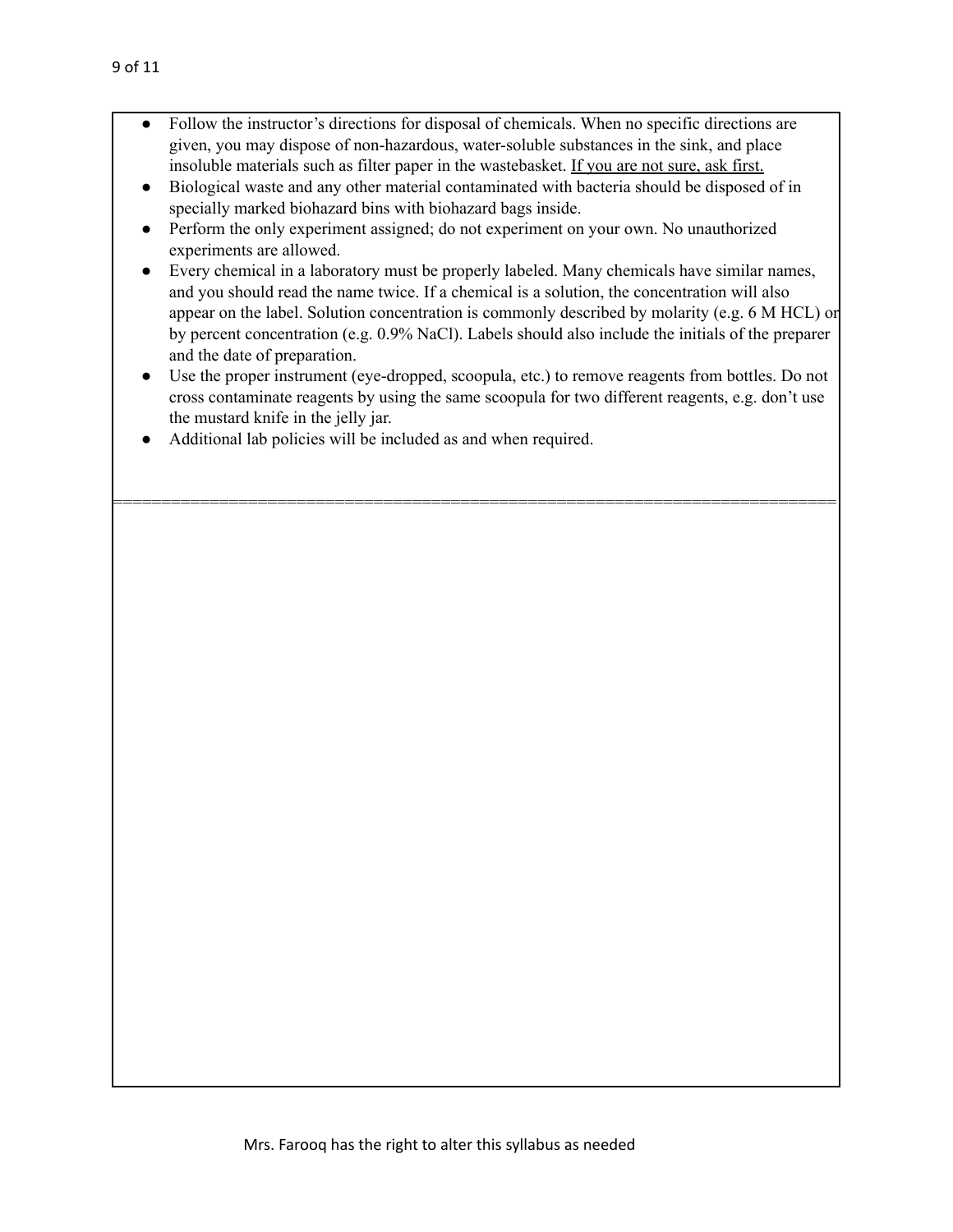- Follow the instructor's directions for disposal of chemicals. When no specific directions are given, you may dispose of non-hazardous, water-soluble substances in the sink, and place insoluble materials such as filter paper in the wastebasket. If you are not sure, ask first.
- Biological waste and any other material contaminated with bacteria should be disposed of in specially marked biohazard bins with biohazard bags inside.
- Perform the only experiment assigned; do not experiment on your own. No unauthorized experiments are allowed.
- Every chemical in a laboratory must be properly labeled. Many chemicals have similar names, and you should read the name twice. If a chemical is a solution, the concentration will also appear on the label. Solution concentration is commonly described by molarity (e.g. 6 M HCL) or by percent concentration (e.g. 0.9% NaCl). Labels should also include the initials of the preparer and the date of preparation.
- Use the proper instrument (eye-dropped, scoopula, etc.) to remove reagents from bottles. Do not cross contaminate reagents by using the same scoopula for two different reagents, e.g. don't use the mustard knife in the jelly jar.

===========================================================================

Additional lab policies will be included as and when required.